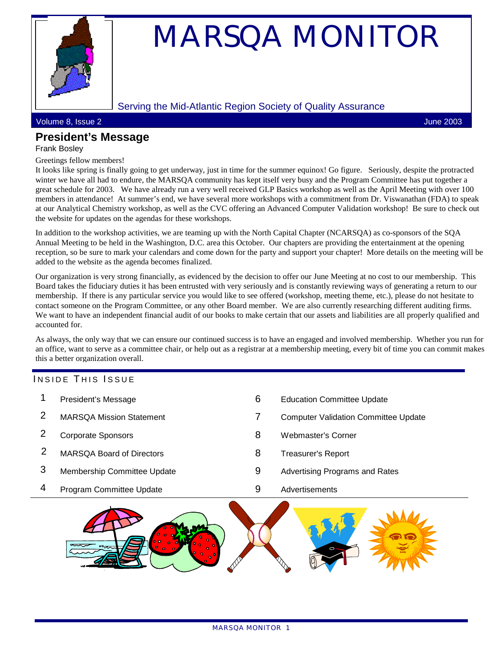

# MARSQA MONITOR

#### Serving the Mid-Atlantic Region Society of Quality Assurance

Volume 8, Issue 2 June 2003

# **President's Message**

#### Frank Bosley

Greetings fellow members!

It looks like spring is finally going to get underway, just in time for the summer equinox! Go figure. Seriously, despite the protracted winter we have all had to endure, the MARSQA community has kept itself very busy and the Program Committee has put together a great schedule for 2003. We have already run a very well received GLP Basics workshop as well as the April Meeting with over 100 members in attendance! At summer's end, we have several more workshops with a commitment from Dr. Viswanathan (FDA) to speak at our Analytical Chemistry workshop, as well as the CVC offering an Advanced Computer Validation workshop! Be sure to check out the website for updates on the agendas for these workshops.

In addition to the workshop activities, we are teaming up with the North Capital Chapter (NCARSQA) as co-sponsors of the SQA Annual Meeting to be held in the Washington, D.C. area this October. Our chapters are providing the entertainment at the opening reception, so be sure to mark your calendars and come down for the party and support your chapter! More details on the meeting will be added to the website as the agenda becomes finalized.

Our organization is very strong financially, as evidenced by the decision to offer our June Meeting at no cost to our membership. This Board takes the fiduciary duties it has been entrusted with very seriously and is constantly reviewing ways of generating a return to our membership. If there is any particular service you would like to see offered (workshop, meeting theme, etc.), please do not hesitate to contact someone on the Program Committee, or any other Board member. We are also currently researching different auditing firms. We want to have an independent financial audit of our books to make certain that our assets and liabilities are all properly qualified and accounted for.

As always, the only way that we can ensure our continued success is to have an engaged and involved membership. Whether you run for an office, want to serve as a committee chair, or help out as a registrar at a membership meeting, every bit of time you can commit makes this a better organization overall.

#### INSIDE THIS ISSUE

| 4 | Program Committee Update         | 9 | Advertisements                              |
|---|----------------------------------|---|---------------------------------------------|
| 3 | Membership Committee Update      | 9 | Advertising Programs and Rates              |
|   | <b>MARSQA Board of Directors</b> | 8 | <b>Treasurer's Report</b>                   |
|   | <b>Corporate Sponsors</b>        | 8 | Webmaster's Corner                          |
|   | <b>MARSQA Mission Statement</b>  |   | <b>Computer Validation Committee Update</b> |
|   | President's Message              | 6 | <b>Education Committee Update</b>           |
|   |                                  |   |                                             |

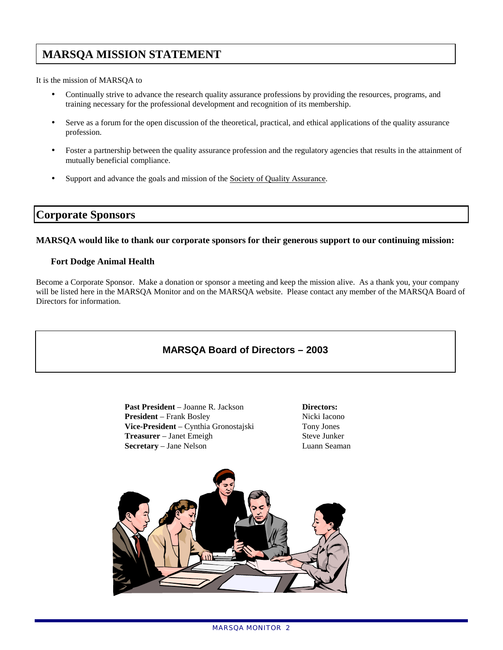# **MARSQA MISSION STATEMENT**

It is the mission of MARSQA to

- Continually strive to advance the research quality assurance professions by providing the resources, programs, and training necessary for the professional development and recognition of its membership.
- Serve as a forum for the open discussion of the theoretical, practical, and ethical applications of the quality assurance profession.
- Foster a partnership between the quality assurance profession and the regulatory agencies that results in the attainment of mutually beneficial compliance.
- Support and advance the goals and mission of the Society of Quality Assurance.

### **Corporate Sponsors**

#### **MARSQA would like to thank our corporate sponsors for their generous support to our continuing mission:**

#### **Fort Dodge Animal Health**

Become a Corporate Sponsor. Make a donation or sponsor a meeting and keep the mission alive. As a thank you, your company will be listed here in the MARSQA Monitor and on the MARSQA website. Please contact any member of the MARSQA Board of Directors for information.

## **MARSQA Board of Directors – 2003**

Past President – Joanne R. Jackson **Directors: President** – Frank Bosley Nicki Iacono **Vice-President** – Cynthia Gronostajski Tony Jones **Treasurer** – Janet Emeigh Steve Junker **Secretary** – Jane Nelson Luann Seaman

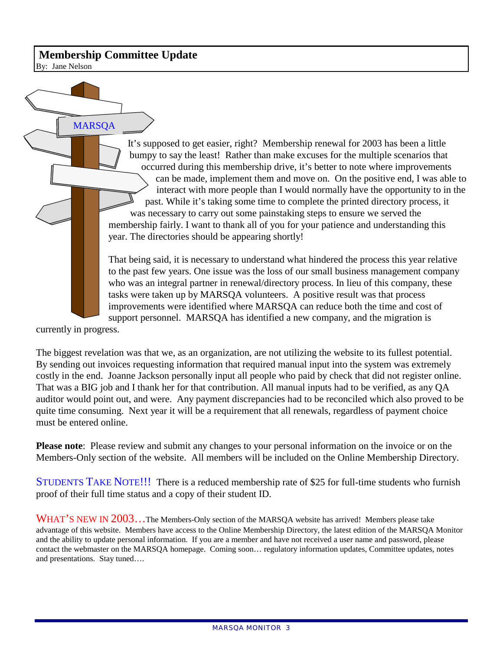## **Membership Committee Update**

By: Jane Nelson

It's supposed to get easier, right? Membership renewal for 2003 has been a little bumpy to say the least! Rather than make excuses for the multiple scenarios that occurred during this membership drive, it's better to note where improvements can be made, implement them and move on. On the positive end, I was able to interact with more people than I would normally have the opportunity to in the past. While it's taking some time to complete the printed directory process, it was necessary to carry out some painstaking steps to ensure we served the membership fairly. I want to thank all of you for your patience and understanding this year. The directories should be appearing shortly! **MARSOA** 

That being said, it is necessary to understand what hindered the process this year relative to the past few years. One issue was the loss of our small business management company who was an integral partner in renewal/directory process. In lieu of this company, these tasks were taken up by MARSQA volunteers. A positive result was that process improvements were identified where MARSQA can reduce both the time and cost of support personnel. MARSQA has identified a new company, and the migration is

currently in progress.

The biggest revelation was that we, as an organization, are not utilizing the website to its fullest potential. By sending out invoices requesting information that required manual input into the system was extremely costly in the end. Joanne Jackson personally input all people who paid by check that did not register online. That was a BIG job and I thank her for that contribution. All manual inputs had to be verified, as any QA auditor would point out, and were. Any payment discrepancies had to be reconciled which also proved to be quite time consuming. Next year it will be a requirement that all renewals, regardless of payment choice must be entered online.

**Please note**: Please review and submit any changes to your personal information on the invoice or on the Members-Only section of the website. All members will be included on the Online Membership Directory.

STUDENTS TAKE NOTE!!! There is a reduced membership rate of \$25 for full-time students who furnish proof of their full time status and a copy of their student ID.

WHAT'S NEW IN 2003...The Members-Only section of the MARSQA website has arrived! Members please take advantage of this website. Members have access to the Online Membership Directory, the latest edition of the MARSQA Monitor and the ability to update personal information. If you are a member and have not received a user name and password, please contact the webmaster on the MARSQA homepage. Coming soon… regulatory information updates, Committee updates, notes and presentations. Stay tuned….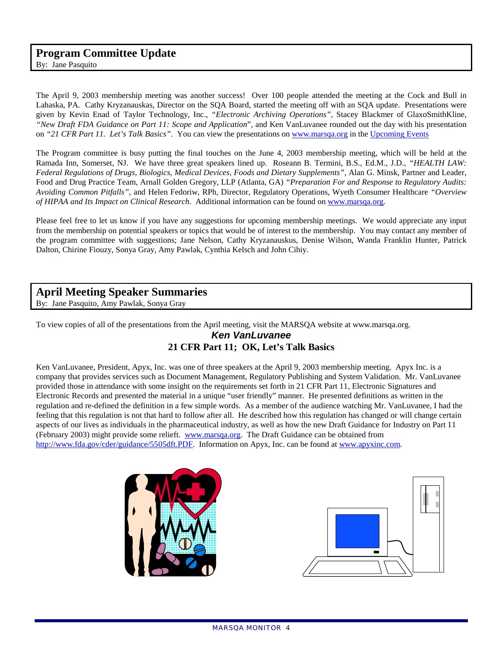## **Program Committee Update**

By: Jane Pasquito

The April 9, 2003 membership meeting was another success! Over 100 people attended the meeting at the Cock and Bull in Lahaska, PA. Cathy Kryzanauskas, Director on the SQA Board, started the meeting off with an SQA update. Presentations were given by Kevin Enad of Taylor Technology, Inc., *"Electronic Archiving Operations",* Stacey Blackmer of GlaxoSmithKline, *"New Draft FDA Guidance on Part 11: Scope and Application*", and Ken VanLuvanee rounded out the day with his presentation on *"21 CFR Part 11. Let's Talk Basics".* You can view the presentations on [www.marsqa.org i](http://www.marsqa.org/)n the [Upcoming Events](http://www.marsqa.org/upcoming.htm)

The Program committee is busy putting the final touches on the June 4, 2003 membership meeting, which will be held at the Ramada Inn, Somerset, NJ. We have three great speakers lined up. Roseann B. Termini, B.S., Ed.M., J.D., *"HEALTH LAW: Federal Regulations of Drugs, Biologics, Medical Devices, Foods and Dietary Supplements",* Alan G. Minsk, Partner and Leader, Food and Drug Practice Team, Arnall Golden Gregory, LLP (Atlanta, GA) *"Preparation For and Response to Regulatory Audits: Avoiding Common Pitfalls",* and Helen Fedoriw, RPh, Director, Regulatory Operations, Wyeth Consumer Healthcare *"Overview of HIPAA and Its Impact on Clinical Research.* Additional information can be found on [www.marsqa.org.](http://www.marsqa.org/)

Please feel free to let us know if you have any suggestions for upcoming membership meetings. We would appreciate any input from the membership on potential speakers or topics that would be of interest to the membership. You may contact any member of the program committee with suggestions; Jane Nelson, Cathy Kryzanauskus, Denise Wilson, Wanda Franklin Hunter, Patrick Dalton, Chirine Fiouzy, Sonya Gray, Amy Pawlak, Cynthia Kelsch and John Cihiy.

#### **April Meeting Speaker Summaries**

By: Jane Pasquito, Amy Pawlak, Sonya Gray

To view copies of all of the presentations from the April meeting, visit the MARSQA website at www.marsqa.org.

#### *Ken VanLuvanee*

#### **21 CFR Part 11; OK, Let's Talk Basics**

Ken VanLuvanee, President, Apyx, Inc. was one of three speakers at the April 9, 2003 membership meeting. Apyx Inc. is a company that provides services such as Document Management, Regulatory Publishing and System Validation. Mr. VanLuvanee provided those in attendance with some insight on the requirements set forth in 21 CFR Part 11, Electronic Signatures and Electronic Records and presented the material in a unique "user friendly" manner. He presented definitions as written in the regulation and re-defined the definition in a few simple words. As a member of the audience watching Mr. VanLuvanee, I had the feeling that this regulation is not that hard to follow after all. He described how this regulation has changed or will change certain aspects of our lives as individuals in the pharmaceutical industry, as well as how the new Draft Guidance for Industry on Part 11 (February 2003) might provide some relieft. [www.marsqa.org.](http://www.marsqa.org/) The Draft Guidance can be obtained from [http://www.fda.gov/cder/guidance/5505dft.PDF.](http://www.fda.gov/cder/guidance/5505dft.PDF) Information on Apyx, Inc. can be found at [www.apyxinc.com.](http://www.apyxinc.com/) 



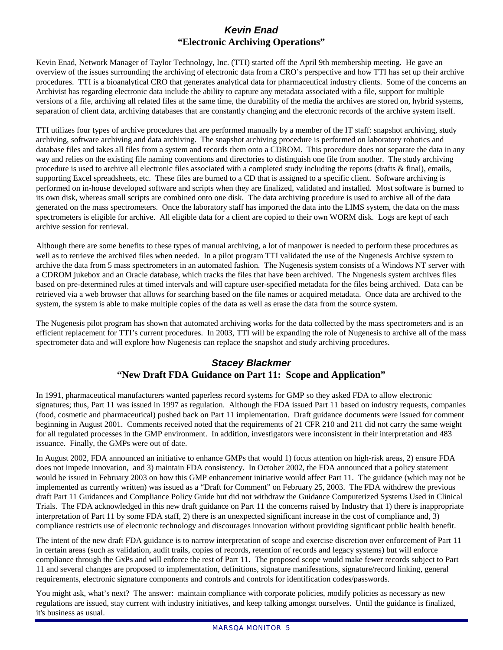#### *Kevin Enad*  **"Electronic Archiving Operations"**

Kevin Enad, Network Manager of Taylor Technology, Inc. (TTI) started off the April 9th membership meeting. He gave an overview of the issues surrounding the archiving of electronic data from a CRO's perspective and how TTI has set up their archive procedures. TTI is a bioanalytical CRO that generates analytical data for pharmaceutical industry clients. Some of the concerns an Archivist has regarding electronic data include the ability to capture any metadata associated with a file, support for multiple versions of a file, archiving all related files at the same time, the durability of the media the archives are stored on, hybrid systems, separation of client data, archiving databases that are constantly changing and the electronic records of the archive system itself.

TTI utilizes four types of archive procedures that are performed manually by a member of the IT staff: snapshot archiving, study archiving, software archiving and data archiving. The snapshot archiving procedure is performed on laboratory robotics and database files and takes all files from a system and records them onto a CDROM. This procedure does not separate the data in any way and relies on the existing file naming conventions and directories to distinguish one file from another. The study archiving procedure is used to archive all electronic files associated with a completed study including the reports (drafts & final), emails, supporting Excel spreadsheets, etc. These files are burned to a CD that is assigned to a specific client. Software archiving is performed on in-house developed software and scripts when they are finalized, validated and installed. Most software is burned to its own disk, whereas small scripts are combined onto one disk. The data archiving procedure is used to archive all of the data generated on the mass spectrometers. Once the laboratory staff has imported the data into the LIMS system, the data on the mass spectrometers is eligible for archive. All eligible data for a client are copied to their own WORM disk. Logs are kept of each archive session for retrieval.

Although there are some benefits to these types of manual archiving, a lot of manpower is needed to perform these procedures as well as to retrieve the archived files when needed. In a pilot program TTI validated the use of the Nugenesis Archive system to archive the data from 5 mass spectrometers in an automated fashion. The Nugenesis system consists of a Windows NT server with a CDROM jukebox and an Oracle database, which tracks the files that have been archived. The Nugenesis system archives files based on pre-determined rules at timed intervals and will capture user-specified metadata for the files being archived. Data can be retrieved via a web browser that allows for searching based on the file names or acquired metadata. Once data are archived to the system, the system is able to make multiple copies of the data as well as erase the data from the source system.

The Nugenesis pilot program has shown that automated archiving works for the data collected by the mass spectrometers and is an efficient replacement for TTI's current procedures. In 2003, TTI will be expanding the role of Nugenesis to archive all of the mass spectrometer data and will explore how Nugenesis can replace the snapshot and study archiving procedures.

## *Stacey Blackmer*  **"New Draft FDA Guidance on Part 11: Scope and Application"**

In 1991, pharmaceutical manufacturers wanted paperless record systems for GMP so they asked FDA to allow electronic signatures; thus, Part 11 was issued in 1997 as regulation. Although the FDA issued Part 11 based on industry requests, companies (food, cosmetic and pharmaceutical) pushed back on Part 11 implementation. Draft guidance documents were issued for comment beginning in August 2001. Comments received noted that the requirements of 21 CFR 210 and 211 did not carry the same weight for all regulated processes in the GMP environment. In addition, investigators were inconsistent in their interpretation and 483 issuance. Finally, the GMPs were out of date.

In August 2002, FDA announced an initiative to enhance GMPs that would 1) focus attention on high-risk areas, 2) ensure FDA does not impede innovation, and 3) maintain FDA consistency. In October 2002, the FDA announced that a policy statement would be issued in February 2003 on how this GMP enhancement initiative would affect Part 11. The guidance (which may not be implemented as currently written) was issued as a "Draft for Comment" on February 25, 2003. The FDA withdrew the previous draft Part 11 Guidances and Compliance Policy Guide but did not withdraw the Guidance Computerized Systems Used in Clinical Trials. The FDA acknowledged in this new draft guidance on Part 11 the concerns raised by Industry that 1) there is inappropriate interpretation of Part 11 by some FDA staff, 2) there is an unexpected significant increase in the cost of compliance and, 3) compliance restricts use of electronic technology and discourages innovation without providing significant public health benefit.

The intent of the new draft FDA guidance is to narrow interpretation of scope and exercise discretion over enforcement of Part 11 in certain areas (such as validation, audit trails, copies of records, retention of records and legacy systems) but will enforce compliance through the GxPs and will enforce the rest of Part 11. The proposed scope would make fewer records subject to Part 11 and several changes are proposed to implementation, definitions, signature manifesations, signature/record linking, general requirements, electronic signature components and controls and controls for identification codes/passwords.

You might ask, what's next? The answer: maintain compliance with corporate policies, modify policies as necessary as new regulations are issued, stay current with industry initiatives, and keep talking amongst ourselves. Until the guidance is finalized, it's business as usual.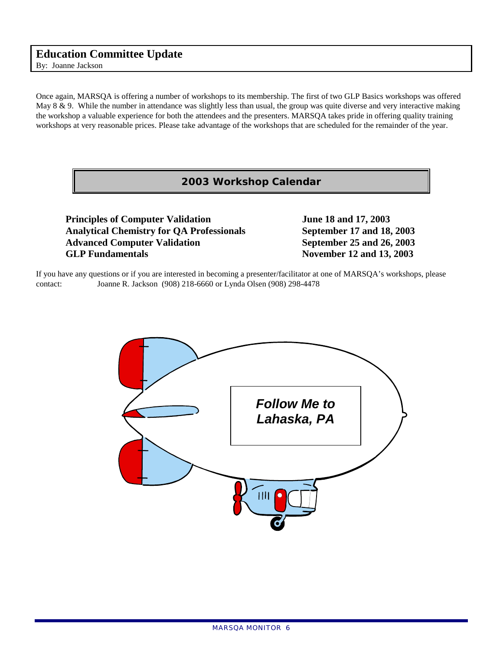## **Education Committee Update**

By: Joanne Jackson

Once again, MARSQA is offering a number of workshops to its membership. The first of two GLP Basics workshops was offered May  $8 \& 9$ . While the number in attendance was slightly less than usual, the group was quite diverse and very interactive making the workshop a valuable experience for both the attendees and the presenters. MARSQA takes pride in offering quality training workshops at very reasonable prices. Please take advantage of the workshops that are scheduled for the remainder of the year.

#### **2003 Workshop Calendar**

**Principles of Computer Validation** June 18 and 17, 2003  **Analytical Chemistry for QA Professionals September 17 and 18, 2003**  Advanced Computer Validation September 25 and 26, 2003 **GLP Fundamentals** November 12 and 13, 2003

If you have any questions or if you are interested in becoming a presenter/facilitator at one of MARSQA's workshops, please contact: Joanne R. Jackson (908) 218-6660 or Lynda Olsen (908) 298-4478

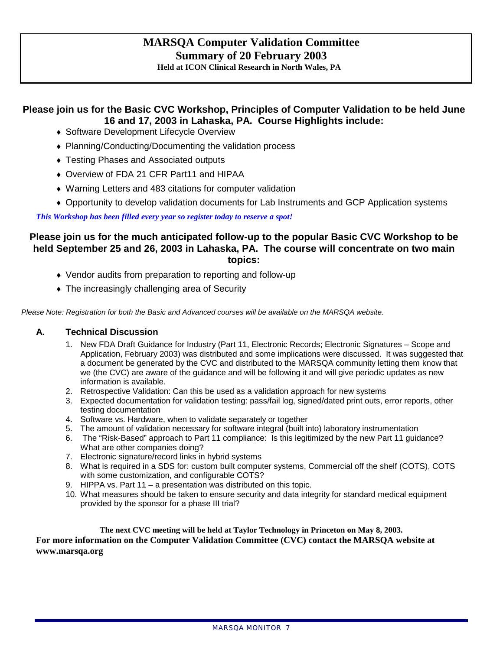# **MARSQA Computer Validation Committee Summary of 20 February 2003**

**Held at ICON Clinical Research in North Wales, PA** 

## **Please join us for the Basic CVC Workshop, Principles of Computer Validation to be held June 16 and 17, 2003 in Lahaska, PA. Course Highlights include:**

- ♦ Software Development Lifecycle Overview
- ♦ Planning/Conducting/Documenting the validation process
- Testing Phases and Associated outputs
- ♦ Overview of FDA 21 CFR Part11 and HIPAA
- ♦ Warning Letters and 483 citations for computer validation
- ♦ Opportunity to develop validation documents for Lab Instruments and GCP Application systems

*This Workshop has been filled every year so register today to reserve a spot!* 

#### **Please join us for the much anticipated follow-up to the popular Basic CVC Workshop to be held September 25 and 26, 2003 in Lahaska, PA. The course will concentrate on two main topics:**

- ♦ Vendor audits from preparation to reporting and follow-up
- The increasingly challenging area of Security

*Please Note: Registration for both the Basic and Advanced courses will be available on the MARSQA website.* 

#### **A. Technical Discussion**

- 1. New FDA Draft Guidance for Industry (Part 11, Electronic Records; Electronic Signatures Scope and Application, February 2003) was distributed and some implications were discussed. It was suggested that a document be generated by the CVC and distributed to the MARSQA community letting them know that we (the CVC) are aware of the guidance and will be following it and will give periodic updates as new information is available.
- 2. Retrospective Validation: Can this be used as a validation approach for new systems
- 3. Expected documentation for validation testing: pass/fail log, signed/dated print outs, error reports, other testing documentation
- 4. Software vs. Hardware, when to validate separately or together
- 5. The amount of validation necessary for software integral (built into) laboratory instrumentation
- 6. The "Risk-Based" approach to Part 11 compliance: Is this legitimized by the new Part 11 guidance? What are other companies doing?
- 7. Electronic signature/record links in hybrid systems
- 8. What is required in a SDS for: custom built computer systems, Commercial off the shelf (COTS), COTS with some customization, and configurable COTS?
- 9. HIPPA vs. Part 11 a presentation was distributed on this topic.
- 10. What measures should be taken to ensure security and data integrity for standard medical equipment provided by the sponsor for a phase III trial?

#### **The next CVC meeting will be held at Taylor Technology in Princeton on May 8, 2003. For more information on the Computer Validation Committee (CVC) contact the MARSQA website at www.marsqa.org**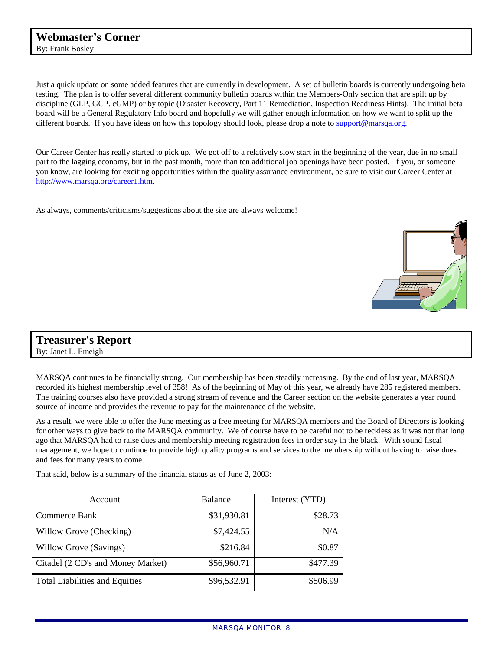Just a quick update on some added features that are currently in development. A set of bulletin boards is currently undergoing beta testing. The plan is to offer several different community bulletin boards within the Members-Only section that are spilt up by discipline (GLP, GCP. cGMP) or by topic (Disaster Recovery, Part 11 Remediation, Inspection Readiness Hints). The initial beta board will be a General Regulatory Info board and hopefully we will gather enough information on how we want to split up the different boards. If you have ideas on how this topology should look, please drop a note to support@marsqa.org.

Our Career Center has really started to pick up. We got off to a relatively slow start in the beginning of the year, due in no small part to the lagging economy, but in the past month, more than ten additional job openings have been posted. If you, or someone you know, are looking for exciting opportunities within the quality assurance environment, be sure to visit our Career Center at [http://www.marsqa.org/career1.htm.](http://www.marsqa.org/career1.htm)

As always, comments/criticisms/suggestions about the site are always welcome!



# **Treasurer's Report**

By: Janet L. Emeigh

MARSQA continues to be financially strong. Our membership has been steadily increasing. By the end of last year, MARSQA recorded it's highest membership level of 358! As of the beginning of May of this year, we already have 285 registered members. The training courses also have provided a strong stream of revenue and the Career section on the website generates a year round source of income and provides the revenue to pay for the maintenance of the website.

As a result, we were able to offer the June meeting as a free meeting for MARSQA members and the Board of Directors is looking for other ways to give back to the MARSQA community. We of course have to be careful not to be reckless as it was not that long ago that MARSQA had to raise dues and membership meeting registration fees in order stay in the black. With sound fiscal management, we hope to continue to provide high quality programs and services to the membership without having to raise dues and fees for many years to come.

That said, below is a summary of the financial status as of June 2, 2003:

| Account                               | <b>Balance</b> | Interest (YTD) |
|---------------------------------------|----------------|----------------|
| Commerce Bank                         | \$31,930.81    | \$28.73        |
| Willow Grove (Checking)               | \$7,424.55     | N/A            |
| Willow Grove (Savings)                | \$216.84       | \$0.87         |
| Citadel (2 CD's and Money Market)     | \$56,960.71    | \$477.39       |
| <b>Total Liabilities and Equities</b> | \$96,532.91    | \$506.99       |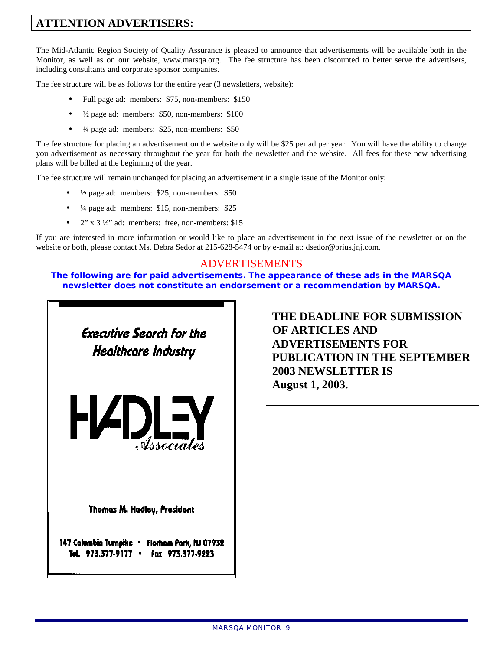# **ATTENTION ADVERTISERS:**

The Mid-Atlantic Region Society of Quality Assurance is pleased to announce that advertisements will be available both in the Monitor, as well as on our website, www.marsqa.org. The fee structure has been discounted to better serve the advertisers, including consultants and corporate sponsor companies.

The fee structure will be as follows for the entire year (3 newsletters, website):

- Full page ad: members: \$75, non-members: \$150
- $\frac{1}{2}$  page ad: members: \$50, non-members: \$100
- $\frac{1}{4}$  page ad: members: \$25, non-members: \$50

The fee structure for placing an advertisement on the website only will be \$25 per ad per year. You will have the ability to change you advertisement as necessary throughout the year for both the newsletter and the website. All fees for these new advertising plans will be billed at the beginning of the year.

The fee structure will remain unchanged for placing an advertisement in a single issue of the Monitor only:

- $\bullet$   $\frac{1}{2}$  page ad: members: \$25, non-members: \$50
- $\frac{1}{4}$  page ad: members: \$15, non-members: \$25
- $2$ " x 3  $\frac{1}{2}$ " ad: members: free, non-members: \$15

If you are interested in more information or would like to place an advertisement in the next issue of the newsletter or on the website or both, please contact Ms. Debra Sedor at 215-628-5474 or by e-mail at: dsedor@prius.jnj.com.

#### ADVERTISEMENTS

**The following are for paid advertisements. The appearance of these ads in the MARSQA newsletter does not constitute an endorsement or a recommendation by MARSQA.** 



**THE DEADLINE FOR SUBMISSION OF ARTICLES AND ADVERTISEMENTS FOR PUBLICATION IN THE SEPTEMBER 2003 NEWSLETTER IS August 1, 2003.**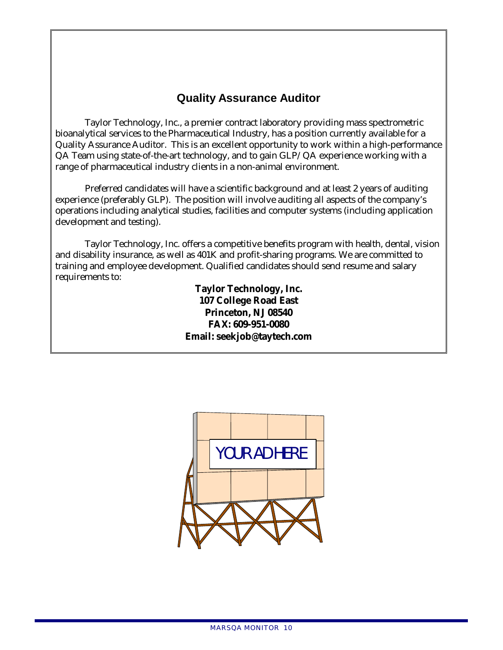# **Quality Assurance Auditor**

Taylor Technology, Inc., a premier contract laboratory providing mass spectrometric bioanalytical services to the Pharmaceutical Industry, has a position currently available for a Quality Assurance Auditor. This is an excellent opportunity to work within a high-performance QA Team using state-of-the-art technology, and to gain GLP/QA experience working with a range of pharmaceutical industry clients in a non-animal environment.

 Preferred candidates will have a scientific background and at least 2 years of auditing experience (preferably GLP). The position will involve auditing all aspects of the company's operations including analytical studies, facilities and computer systems (including application development and testing).

 Taylor Technology, Inc. offers a competitive benefits program with health, dental, vision and disability insurance, as well as 401K and profit-sharing programs. We are committed to training and employee development. Qualified candidates should send resume and salary requirements to:

> **Taylor Technology, Inc. 107 College Road East Princeton, NJ 08540 FAX: 609-951-0080 Email: seekjob@taytech.com**

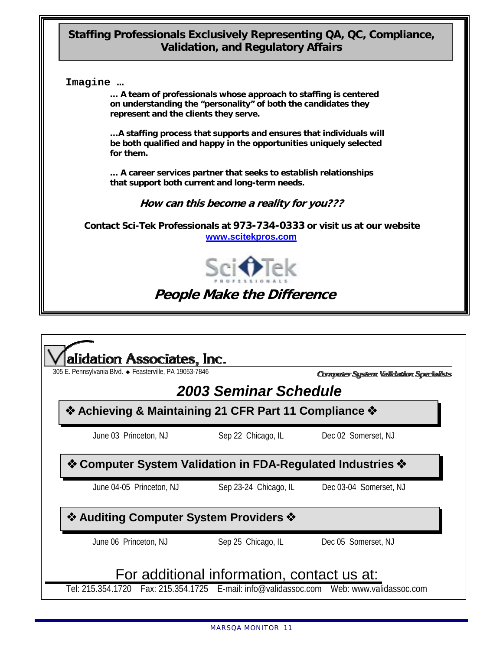# **[St](mailto:wilsond1@basf-corp.com)affing Professionals Exclusively Representing QA, QC, Compliance, Validation, and Regulatory Affairs**



**… A team of professionals whose approach to staffing is centered on understanding the "personality" of both the candidates they represent and the clients they serve.** 

**…A staffing process that supports and ensures that individuals will be both qualified and happy in the opportunities uniquely selected for them.** 

**… A career services partner that seeks to establish relationships that support both current and long-term needs.** 

**How can this become a reality for you???** 

**Contact Sci-Tek Professionals at 973-734-0333 or visit us at our website www.scitekpros.com**



**People Make the Difference**

|                                                                                        | 305 E. Pennsylvania Blvd. · Feasterville, PA 19053-7846 | Computer System Validation Specialists |
|----------------------------------------------------------------------------------------|---------------------------------------------------------|----------------------------------------|
|                                                                                        | 2003 Seminar Schedule                                   |                                        |
| ❖ Achieving & Maintaining 21 CFR Part 11 Compliance ❖                                  |                                                         |                                        |
| June 03 Princeton, NJ                                                                  | Sep 22 Chicago, IL                                      | Dec 02 Somerset, NJ                    |
|                                                                                        |                                                         |                                        |
| ❖ Computer System Validation in FDA-Regulated Industries ❖<br>June 04-05 Princeton, NJ | Sep 23-24 Chicago, IL                                   | Dec 03-04 Somerset, NJ                 |
| ❖ Auditing Computer System Providers ❖                                                 |                                                         |                                        |